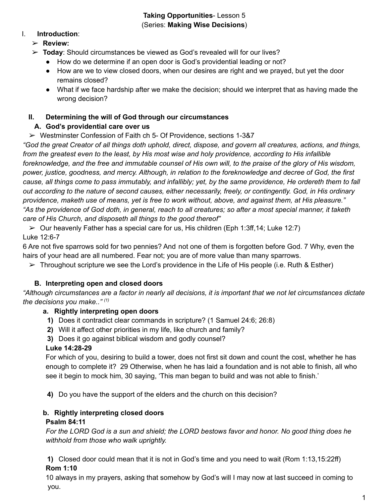#### **Taking Opportunities**- Lesson 5 (Series: **Making Wise Decisions**)

### I. **Introduction**:

## ➢ **Review:**

- ➢ **Today**: Should circumstances be viewed as God's revealed will for our lives?
	- How do we determine if an open door is God's providential leading or not?
	- How are we to view closed doors, when our desires are right and we prayed, but yet the door remains closed?
	- What if we face hardship after we make the decision; should we interpret that as having made the wrong decision?

## **II. Determining the will of God through our circumstances**

# **A. God's providential care over us**

 $\triangleright$  Westminster Confession of Faith ch 5- Of Providence, sections 1-3&7

"God the great Creator of all things doth uphold, direct, dispose, and govern all creatures, actions, and things, from the greatest even to the least, by His most wise and holy providence, according to His infallible foreknowledge, and the free and immutable counsel of His own will, to the praise of the glory of His wisdom, power, justice, goodness, and mercy. Although, in relation to the foreknowledge and decree of God, the first cause, all things come to pass immutably, and infallibly; yet, by the same providence, He ordereth them to fall out according to the nature of second causes, either necessarily, freely, or contingently. God, in His ordinary providence, maketh use of means, yet is free to work without, above, and against them, at His pleasure." "As the providence of God doth, in general, reach to all creatures; so after a most special manner, it taketh *care of His Church, and disposeth all things to the good thereof"*

 $\triangleright$  Our heavenly Father has a special care for us, His children (Eph 1:3ff, 14; Luke 12:7) Luke 12:6-7

6 Are not five sparrows sold for two pennies? And not one of them is forgotten before God. 7 Why, even the hairs of your head are all numbered. Fear not; you are of more value than many sparrows.

 $\triangleright$  Throughout scripture we see the Lord's providence in the Life of His people (i.e. Ruth & Esther)

## **B. Interpreting open and closed doors**

"Although circumstances are a factor in nearly all decisions, it is important that we not let circumstances dictate *the decisions you make.." (1)*

## **a. Rightly interpreting open doors**

- **1)** Does it contradict clear commands in scripture? (1 Samuel 24:6; 26:8)
- **2)** Will it affect other priorities in my life, like church and family?
- **3)** Does it go against biblical wisdom and godly counsel?

## **Luke 14:28-29**

For which of you, desiring to build a tower, does not first sit down and count the cost, whether he has enough to complete it? 29 Otherwise, when he has laid a foundation and is not able to finish, all who see it begin to mock him, 30 saying, 'This man began to build and was not able to finish.'

**4)** Do you have the support of the elders and the church on this decision?

# **b. Rightly interpreting closed doors Psalm 84:11**

For the LORD God is a sun and shield; the LORD bestows favor and honor. No good thing does he *withhold from those who walk uprightly.*

**1)** Closed door could mean that it is not in God's time and you need to wait (Rom 1:13,15:22ff) **Rom 1:10**

10 always in my prayers, asking that somehow by God's will I may now at last succeed in coming to you.